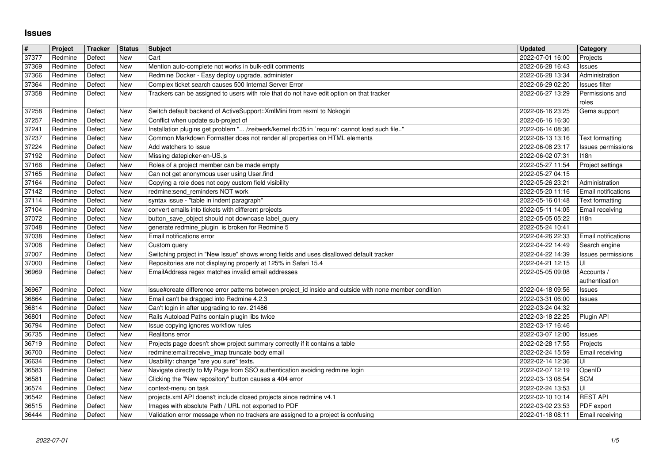## **Issues**

| #              | Project            | Tracker          | <b>Status</b>            | <b>Subject</b>                                                                                                                                             | Updated                              | Category                               |
|----------------|--------------------|------------------|--------------------------|------------------------------------------------------------------------------------------------------------------------------------------------------------|--------------------------------------|----------------------------------------|
| 37377          | Redmine            | Defect           | New                      | Cart                                                                                                                                                       | 2022-07-01 16:00                     | Projects                               |
| 37369<br>37366 | Redmine<br>Redmine | Defect<br>Defect | <b>New</b><br><b>New</b> | Mention auto-complete not works in bulk-edit comments<br>Redmine Docker - Easy deploy upgrade, administer                                                  | 2022-06-28 16:43<br>2022-06-28 13:34 | Issues<br>Administration               |
| 37364          | Redmine            | Defect           | <b>New</b>               | Complex ticket search causes 500 Internal Server Error                                                                                                     | 2022-06-29 02:20                     | Issues filter                          |
| 37358          | Redmine            | Defect           | New                      | Trackers can be assigned to users with role that do not have edit option on that tracker                                                                   | 2022-06-27 13:29                     | Permissions and                        |
|                |                    |                  |                          |                                                                                                                                                            |                                      | roles                                  |
| 37258<br>37257 | Redmine<br>Redmine | Defect<br>Defect | New<br>New               | Switch default backend of ActiveSupport:: XmlMini from rexml to Nokogiri<br>Conflict when update sub-project of                                            | 2022-06-16 23:25<br>2022-06-16 16:30 | Gems support                           |
| 37241          | Redmine            | Defect           | New                      | Installation plugins get problem " /zeitwerk/kernel.rb:35:in `require': cannot load such file"                                                             | 2022-06-14 08:36                     |                                        |
| 37237          | Redmine            | Defect           | New                      | Common Markdown Formatter does not render all properties on HTML elements                                                                                  | 2022-06-13 13:16                     | Text formatting                        |
| 37224          | Redmine            | Defect           | <b>New</b>               | Add watchers to issue                                                                                                                                      | 2022-06-08 23:17                     | Issues permissions                     |
| 37192<br>37166 | Redmine<br>Redmine | Defect<br>Defect | <b>New</b><br><b>New</b> | Missing datepicker-en-US.js<br>Roles of a project member can be made empty                                                                                 | 2022-06-02 07:31<br>2022-05-27 11:54 | 118n<br>Project settings               |
| 37165          | Redmine            | Defect           | New                      | Can not get anonymous user using User.find                                                                                                                 | 2022-05-27 04:15                     |                                        |
| 37164          | Redmine            | Defect           | <b>New</b>               | Copying a role does not copy custom field visibility                                                                                                       | 2022-05-26 23:21                     | Administration                         |
| 37142<br>37114 | Redmine<br>Redmine | Defect<br>Defect | <b>New</b><br>New        | redmine:send_reminders NOT work<br>syntax issue - "table in indent paragraph"                                                                              | 2022-05-20 11:16<br>2022-05-16 01:48 | Email notifications<br>Text formatting |
| 37104          | Redmine            | Defect           | New                      | convert emails into tickets with different projects                                                                                                        | 2022-05-11 14:05                     | Email receiving                        |
| 37072<br>37048 | Redmine<br>Redmine | Defect<br>Defect | New<br><b>New</b>        | button save object should not downcase label query<br>generate redmine_plugin is broken for Redmine 5                                                      | 2022-05-05 05:22<br>2022-05-24 10:41 | 118n                                   |
| 37038          | Redmine            | Defect           | <b>New</b>               | Email notifications error                                                                                                                                  | 2022-04-26 22:33                     | <b>Email notifications</b>             |
| 37008          | Redmine            | Defect           | New                      | Custom query                                                                                                                                               | 2022-04-22 14:49                     | Search engine                          |
| 37007<br>37000 | Redmine<br>Redmine | Defect<br>Defect | New<br>New               | Switching project in "New Issue" shows wrong fields and uses disallowed default tracker<br>Repositories are not displaying properly at 125% in Safari 15.4 | 2022-04-22 14:39<br>2022-04-21 12:15 | Issues permissions<br>UI               |
| 36969          | Redmine            | Defect           | <b>New</b>               | EmailAddress regex matches invalid email addresses                                                                                                         | 2022-05-05 09:08                     | Accounts /                             |
|                |                    |                  |                          |                                                                                                                                                            |                                      | authentication                         |
| 36967          | Redmine            | Defect           | <b>New</b>               | issue#create difference error patterns between project_id inside and outside with none member condition                                                    | 2022-04-18 09:56                     | Issues                                 |
| 36864<br>36814 | Redmine<br>Redmine | Defect<br>Defect | New<br><b>New</b>        | Email can't be dragged into Redmine 4.2.3<br>Can't login in after upgrading to rev. 21486                                                                  | 2022-03-31 06:00<br>2022-03-24 04:32 | Issues                                 |
| 36801          | Redmine            | Defect           | <b>New</b>               | Rails Autoload Paths contain plugin libs twice                                                                                                             | 2022-03-18 22:25                     | Plugin API                             |
| 36794          | Redmine            | Defect           | New                      | Issue copying ignores workflow rules                                                                                                                       | 2022-03-17 16:46                     |                                        |
| 36735<br>36719 | Redmine<br>Redmine | Defect<br>Defect | <b>New</b><br>New        | Realitons error<br>Projects page doesn't show project summary correctly if it contains a table                                                             | 2022-03-07 12:00<br>2022-02-28 17:55 | Issues<br>Projects                     |
| 36700          | Redmine            | Defect           | <b>New</b>               | redmine:email:receive_imap truncate body email                                                                                                             | 2022-02-24 15:59                     | Email receiving                        |
| 36634          | Redmine            | Defect           | New                      | Usability: change "are you sure" texts.                                                                                                                    | 2022-02-14 12:36                     | UI                                     |
| 36583<br>36581 | Redmine<br>Redmine | Defect<br>Defect | <b>New</b><br>New        | Navigate directly to My Page from SSO authentication avoiding redmine login<br>Clicking the "New repository" button causes a 404 error                     | 2022-02-07 12:19<br>2022-03-13 08:54 | OpenID<br><b>SCM</b>                   |
| 36574          | Redmine            | Defect           | <b>New</b>               | context-menu on task                                                                                                                                       | 2022-02-24 13:53                     | UI                                     |
| 36542<br>36515 | Redmine<br>Redmine | Defect<br>Defect | New<br>New               | projects.xml API doens't include closed projects since redmine v4.1<br>Images with absolute Path / URL not exported to PDF                                 | 2022-02-10 10:14<br>2022-03-02 23:53 | <b>REST API</b><br>PDF export          |
| 36444          | Redmine            | Defect           | New                      | Validation error message when no trackers are assigned to a project is confusing                                                                           | 2022-01-18 08:11                     | Email receiving                        |
|                |                    |                  |                          |                                                                                                                                                            |                                      |                                        |
|                |                    |                  |                          |                                                                                                                                                            |                                      |                                        |
|                |                    |                  |                          |                                                                                                                                                            |                                      |                                        |
|                |                    |                  |                          |                                                                                                                                                            |                                      |                                        |
|                |                    |                  |                          |                                                                                                                                                            |                                      |                                        |
|                |                    |                  |                          |                                                                                                                                                            |                                      |                                        |
|                |                    |                  |                          |                                                                                                                                                            |                                      |                                        |
|                |                    |                  |                          |                                                                                                                                                            |                                      |                                        |
|                |                    |                  |                          |                                                                                                                                                            |                                      |                                        |
|                |                    |                  |                          |                                                                                                                                                            |                                      |                                        |
|                |                    |                  |                          |                                                                                                                                                            |                                      |                                        |
|                |                    |                  |                          |                                                                                                                                                            |                                      |                                        |
|                |                    |                  |                          |                                                                                                                                                            |                                      |                                        |
|                |                    |                  |                          |                                                                                                                                                            |                                      |                                        |
|                |                    |                  |                          |                                                                                                                                                            |                                      |                                        |
|                |                    |                  |                          |                                                                                                                                                            |                                      |                                        |
|                |                    |                  |                          |                                                                                                                                                            |                                      |                                        |
|                |                    |                  |                          |                                                                                                                                                            |                                      |                                        |
|                |                    |                  |                          |                                                                                                                                                            |                                      |                                        |
|                |                    |                  |                          |                                                                                                                                                            |                                      |                                        |
|                |                    |                  |                          |                                                                                                                                                            |                                      |                                        |
|                |                    |                  |                          |                                                                                                                                                            |                                      |                                        |
|                |                    |                  |                          |                                                                                                                                                            |                                      |                                        |
|                |                    |                  |                          |                                                                                                                                                            |                                      |                                        |
|                |                    |                  |                          |                                                                                                                                                            |                                      |                                        |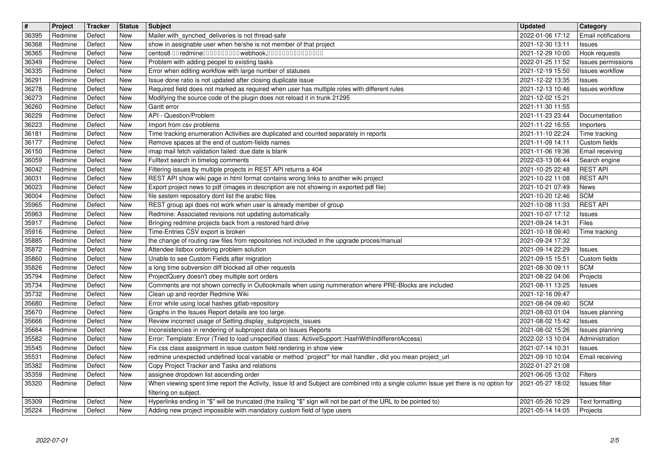| $\sqrt{t}$     | Project            | Tracker          | <b>Status</b>            | Subject                                                                                                                                                                                      | <b>Updated</b>                                 | <b>Category</b>                              |
|----------------|--------------------|------------------|--------------------------|----------------------------------------------------------------------------------------------------------------------------------------------------------------------------------------------|------------------------------------------------|----------------------------------------------|
| 36395<br>36368 | Redmine<br>Redmine | Defect<br>Defect | New<br>New               | Mailer.with_synched_deliveries is not thread-safe<br>show in assignable user when he/she is not member of that project                                                                       | 2022-01-06 17:12<br>2021-12-30 13:11           | Email notifications<br>Issues                |
| 36365          | Redmine            | Defect           | New                      | centos8 00 redmine0000000000 webhook,000000000000000                                                                                                                                         | 2021-12-29 10:00                               | Hook requests                                |
| 36349          | Redmine            | Defect           | New                      | Problem with adding peopel to existing tasks                                                                                                                                                 | 2022-01-25 11:52                               | Issues permissions<br><b>Issues workflow</b> |
| 36335<br>36291 | Redmine<br>Redmine | Defect<br>Defect | New<br>New               | Error when editing workflow with large number of statuses<br>Issue done ratio is not updated after closing duplicate issue                                                                   | 2021-12-19 15:50<br>2021-12-22 13:35           | Issues                                       |
| 36278          | Redmine            | Defect           | New                      | Required field does not marked as required when user has multiple roles with different rules                                                                                                 | 2021-12-13 10:46                               | Issues workflow                              |
| 36273<br>36260 | Redmine<br>Redmine | Defect<br>Defect | New<br>New               | Modifying the source code of the plugin does not reload it in trunk 21295<br>Gantt error                                                                                                     | 2021-12-02 15:21<br>2021-11-30 11:55           |                                              |
| 36229          | Redmine            | Defect           | <b>New</b>               | API - Question/Problem                                                                                                                                                                       | 2021-11-23 23:44                               | Documentation                                |
| 36223          | Redmine            | Defect           | New                      | Import from csv problems                                                                                                                                                                     | 2021-11-22 16:55                               | Importers                                    |
| 36181<br>36177 | Redmine<br>Redmine | Defect<br>Defect | New<br>New               | Time tracking enumeration Activities are duplicated and counted separately in reports<br>Remove spaces at the end of custom-fields names                                                     | 2021-11-10 22:24<br>2021-11-09 14:11           | Time tracking<br>Custom fields               |
| 36150          | Redmine            | Defect           | New                      | imap mail fetch validation failed: due date is blank                                                                                                                                         | 2021-11-06 19:36                               | Email receiving                              |
| 36059<br>36042 | Redmine<br>Redmine | Defect<br>Defect | New<br>New               | Fulltext search in timelog comments<br>Filtering issues by multiple projects in REST API returns a 404                                                                                       | 2022-03-13 06:44<br>2021-10-25 22:48           | Search engine<br><b>REST API</b>             |
| 36031          | Redmine            | Defect           | New                      | REST API show wiki page in html format contains wrong links to another wiki project                                                                                                          | 2021-10-22 11:08                               | <b>REST API</b>                              |
| 36023          | Redmine<br>Redmine | Defect<br>Defect | New<br><b>New</b>        | Export project news to pdf (images in description are not showing in exported pdf file)<br>file sestem reposatory dont list the arabic files                                                 | 2021-10-21 07:49<br>2021-10-20 12:46           | News<br><b>SCM</b>                           |
| 36004<br>35965 | Redmine            | Defect           | <b>New</b>               | REST group api does not work when user is already member of group                                                                                                                            | 2021-10-08 11:33                               | <b>REST API</b>                              |
| 35963          | Redmine            | Defect           | New                      | Redmine: Associated revisions not updating automatically                                                                                                                                     | 2021-10-07 17:12                               | <b>Issues</b>                                |
| 35917<br>35916 | Redmine<br>Redmine | Defect<br>Defect | New<br>New               | Bringing redmine projects back from a restored hard drive<br>Time-Entries CSV export is broken                                                                                               | 2021-09-24 14:31<br>2021-10-18 09:40           | Files<br>Time tracking                       |
| 35885          | Redmine            | Defect           | <b>New</b>               | the change of routing raw files from repositories not included in the upgrade proces/manual                                                                                                  | 2021-09-24 17:32                               |                                              |
| 35872<br>35860 | Redmine<br>Redmine | Defect<br>Defect | New<br>New               | Attendee listbox ordering problem solution<br>Unable to see Custom Fields after migration                                                                                                    | 2021-09-14 22:29<br>2021-09-15 15:51           | Issues<br>Custom fields                      |
| 35826          | Redmine            | Defect           | New                      | a long time subversion diff blocked all other requests                                                                                                                                       | 2021-08-30 09:11                               | <b>SCM</b>                                   |
| 35794          | Redmine            | Defect           | <b>New</b>               | ProjectQuery doesn't obey multiple sort orders                                                                                                                                               | 2021-08-22 04:06                               | Projects                                     |
| 35734<br>35732 | Redmine<br>Redmine | Defect<br>Defect | <b>New</b><br><b>New</b> | Comments are not shown correctly in Outlookmails when using nummeration where PRE-Blocks are included<br>Clean up and reorder Redmine Wiki                                                   | 2021-08-11 13:25<br>2021-12-16 09:47           | Issues                                       |
| 35680          | Redmine            | Defect           | New                      | Error while using local hashes gitlab-repository                                                                                                                                             | 2021-08-04 09:40                               | <b>SCM</b>                                   |
| 35670<br>35666 | Redmine<br>Redmine | Defect<br>Defect | New<br>New               | Graphs in the Issues Report details are too large.<br>Review incorrect usage of Setting.display_subprojects_issues                                                                           | 2021-08-03 01:04<br>2021-08-02 15:42           | Issues planning<br>Issues                    |
| 35664          | Redmine            | Defect           | New                      | Inconsistencies in rendering of subproject data on Issues Reports                                                                                                                            | 2021-08-02 15:26                               | Issues planning                              |
| 35582<br>35545 | Redmine<br>Redmine | Defect<br>Defect | New<br><b>New</b>        | Error: Template::Error (Tried to load unspecified class: ActiveSupport::HashWithIndifferentAccess)<br>Fix css class assignment in issue custom field rendering in show view                  | 2022-02-13 10:04<br>2021-07-14 10:31           | Administration                               |
| 35531          | Redmine            | Defect           | <b>New</b>               | redmine unexpected undefined local variable or method `project'" for mail handler, did you mean project url                                                                                  | 2021-09-10 10:04                               | <b>Issues</b><br>Email receiving             |
| 35382          | Redmine            | Defect           | <b>New</b>               | Copy Project Tracker and Tasks and relations                                                                                                                                                 | 2022-01-27 21:08                               |                                              |
| 35359<br>35320 | Redmine<br>Redmine | Defect<br>Defect | New<br><b>New</b>        | assignee dropdown list ascending order<br>When viewing spent time report the Activity, Issue Id and Subject are combined into a single column Issue yet there is no option for               | 2021-06-05 13:02   Filters<br>2021-05-27 18:02 | Issues filter                                |
|                |                    |                  |                          | filtering on subject.                                                                                                                                                                        |                                                |                                              |
| 35309<br>35224 | Redmine<br>Redmine | Defect<br>Defect | New<br>New               | Hyperlinks ending in "\$" will be truncated (the trailing "\$" sign will not be part of the URL to be pointed to)<br>Adding new project impossible with mandatory custom field of type users | 2021-05-26 10:29<br>2021-05-14 14:05           | Text formatting<br>Projects                  |
|                |                    |                  |                          |                                                                                                                                                                                              |                                                |                                              |
|                |                    |                  |                          |                                                                                                                                                                                              |                                                |                                              |
|                |                    |                  |                          |                                                                                                                                                                                              |                                                |                                              |
|                |                    |                  |                          |                                                                                                                                                                                              |                                                |                                              |
|                |                    |                  |                          |                                                                                                                                                                                              |                                                |                                              |
|                |                    |                  |                          |                                                                                                                                                                                              |                                                |                                              |
|                |                    |                  |                          |                                                                                                                                                                                              |                                                |                                              |
|                |                    |                  |                          |                                                                                                                                                                                              |                                                |                                              |
|                |                    |                  |                          |                                                                                                                                                                                              |                                                |                                              |
|                |                    |                  |                          |                                                                                                                                                                                              |                                                |                                              |
|                |                    |                  |                          |                                                                                                                                                                                              |                                                |                                              |
|                |                    |                  |                          |                                                                                                                                                                                              |                                                |                                              |
|                |                    |                  |                          |                                                                                                                                                                                              |                                                |                                              |
|                |                    |                  |                          |                                                                                                                                                                                              |                                                |                                              |
|                |                    |                  |                          |                                                                                                                                                                                              |                                                |                                              |
|                |                    |                  |                          |                                                                                                                                                                                              |                                                |                                              |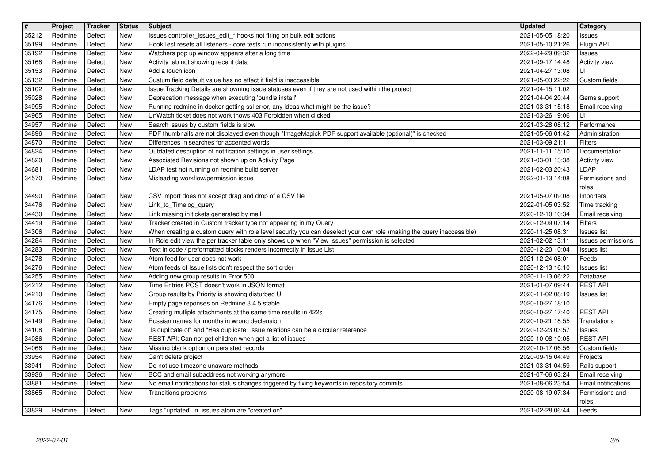| $\sqrt{t}$     | Project            | Tracker          | <b>Status</b>            | <b>Subject</b>                                                                                                                                      | <b>Updated</b>                       | Category                                      |
|----------------|--------------------|------------------|--------------------------|-----------------------------------------------------------------------------------------------------------------------------------------------------|--------------------------------------|-----------------------------------------------|
| 35212<br>35199 | Redmine<br>Redmine | Defect<br>Defect | <b>New</b><br><b>New</b> | Issues controller_issues_edit_* hooks not firing on bulk edit actions<br>HookTest resets all listeners - core tests run inconsistently with plugins | 2021-05-05 18:20<br>2021-05-10 21:26 | Issues<br>Plugin API                          |
| 35192          | Redmine            | Defect           | <b>New</b>               | Watchers pop up window appears after a long time                                                                                                    | 2022-04-29 09:32                     | Issues                                        |
| 35168          | Redmine            | Defect           | <b>New</b>               | Activity tab not showing recent data<br>Add a touch icon                                                                                            | 2021-09-17 14:48                     | <b>Activity view</b>                          |
| 35153<br>35132 | Redmine<br>Redmine | Defect<br>Defect | <b>New</b><br><b>New</b> | Custum field default value has no effect if field is inaccessible                                                                                   | 2021-04-27 13:08<br>2021-05-03 22:22 | UI<br>Custom fields                           |
| 35102          | Redmine            | Defect           | New                      | Issue Tracking Details are showning issue statuses even if they are not used within the project                                                     | 2021-04-15 11:02                     |                                               |
| 35028<br>34995 | Redmine<br>Redmine | Defect<br>Defect | New<br><b>New</b>        | Deprecation message when executing 'bundle install'<br>Running redmine in docker getting ssl error, any ideas what might be the issue?              | 2021-04-04 20:44<br>2021-03-31 15:18 | Gems support<br>Email receiving               |
| 34965          | Redmine            | Defect           | <b>New</b>               | UnWatch ticket does not work thows 403 Forbidden when clicked                                                                                       | 2021-03-26 19:06                     | Uİ                                            |
| 34957<br>34896 | Redmine<br>Redmine | Defect<br>Defect | <b>New</b><br><b>New</b> | Search issues by custom fields is slow<br>PDF thumbnails are not displayed even though "ImageMagick PDF support available (optional)" is checked    | 2021-03-28 08:12<br>2021-05-06 01:42 | Performance<br>Administration                 |
| 34870          | Redmine            | Defect           | <b>New</b>               | Differences in searches for accented words                                                                                                          | 2021-03-09 21:11                     | Filters                                       |
| 34824          | Redmine            | Defect           | <b>New</b>               | Outdated description of notification settings in user settings                                                                                      | 2021-11-11 15:10                     | Documentation                                 |
| 34820<br>34681 | Redmine<br>Redmine | Defect<br>Defect | <b>New</b><br>New        | Associated Revisions not shown up on Activity Page<br>LDAP test not running on redmine build server                                                 | 2021-03-01 13:38<br>2021-02-03 20:43 | Activity view<br>LDAP                         |
| 34570          | Redmine            | Defect           | New                      | Misleading workflow/permission issue                                                                                                                | 2022-01-13 14:08                     | Permissions and                               |
| 34490          | Redmine            | Defect           | <b>New</b>               | CSV import does not accept drag and drop of a CSV file                                                                                              | 2021-05-07 09:08                     | roles<br>Importers                            |
| 34476          | Redmine            | Defect           | <b>New</b>               | Link_to_Timelog_query                                                                                                                               | 2022-01-05 03:52                     | Time tracking                                 |
| 34430<br>34419 | Redmine<br>Redmine | Defect<br>Defect | <b>New</b><br><b>New</b> | Link missing in tickets generated by mail<br>Tracker created in Custom tracker type not appearing in my Query                                       | 2020-12-10 10:34<br>2020-12-09 07:14 | Email receiving<br>Filters                    |
| 34306          | Redmine            | Defect           | <b>New</b>               | When creating a custom query with role level security you can deselect your own role (making the query inaccessible)                                | 2020-11-25 08:31                     | <b>Issues list</b>                            |
| 34284          | Redmine            | Defect           | New                      | In Role edit view the per tracker table only shows up when "View Issues" permission is selected                                                     | 2021-02-02 13:11                     | Issues permissions                            |
| 34283<br>34278 | Redmine<br>Redmine | Defect<br>Defect | New<br>New               | Text in code / preformatted blocks renders incorrrectly in Issue List<br>Atom feed for user does not work                                           | 2020-12-20 10:04<br>2021-12-24 08:01 | <b>Issues list</b><br>Feeds                   |
| 34276          | Redmine            | Defect           | New                      | Atom feeds of Issue lists don't respect the sort order                                                                                              | 2020-12-13 16:10                     | <b>Issues list</b>                            |
| 34255<br>34212 | Redmine<br>Redmine | Defect<br>Defect | New<br><b>New</b>        | Adding new group results in Error 500<br>Time Entries POST doesn't work in JSON format                                                              | 2020-11-13 06:22<br>2021-01-07 09:44 | Database<br><b>REST API</b>                   |
| 34210          | Redmine            | Defect           | New                      | Group results by Priority is showing disturbed UI                                                                                                   | 2020-11-02 08:19                     | <b>Issues list</b>                            |
| 34176          | Redmine            | Defect           | New                      | Empty page reponses on Redmine 3.4.5.stable                                                                                                         | 2020-10-27 18:10                     |                                               |
| 34175<br>34149 | Redmine<br>Redmine | Defect<br>Defect | <b>New</b><br>New        | Creating mutliple attachments at the same time results in 422s<br>Russian names for months in wrong declension                                      | 2020-10-27 17:40<br>2020-10-21 18:55 | <b>REST API</b><br>Translations               |
| 34108          | Redmine            | Defect           | New                      | "Is duplicate of" and "Has duplicate" issue relations can be a circular reference                                                                   | 2020-12-23 03:57                     | <b>Issues</b>                                 |
| 34086<br>34068 | Redmine<br>Redmine | Defect<br>Defect | New<br>New               | REST API: Can not get children when get a list of issues<br>Missing blank option on persisted records                                               | 2020-10-08 10:05<br>2020-10-17 06:56 | <b>REST API</b><br>Custom fields              |
| 33954          | Redmine            | Defect           | <b>New</b>               | Can't delete project                                                                                                                                | 2020-09-15 04:49                     | Projects                                      |
| 33941<br>33936 | Redmine            | Defect           | New                      | Do not use timezone unaware methods                                                                                                                 | 2021-03-31 04:59                     | Rails support                                 |
| 33881          | Redmine<br>Redmine | Defect<br>Defect | New<br><b>New</b>        | BCC and email subaddress not working anymore<br>No email notifications for status changes triggered by fixing keywords in repository commits.       | 2021-07-06 03:24<br>2021-08-06 23:54 | Email receiving<br><b>Email notifications</b> |
| 33865          | Redmine            | Defect           | New                      | Transitions problems                                                                                                                                | 2020-08-19 07:34                     | Permissions and                               |
| 33829          | Redmine            | Defect           | New                      | Tags "updated" in issues atom are "created on"                                                                                                      | 2021-02-28 06:44                     | roles<br>Feeds                                |
|                |                    |                  |                          |                                                                                                                                                     |                                      |                                               |
|                |                    |                  |                          |                                                                                                                                                     |                                      |                                               |
|                |                    |                  |                          |                                                                                                                                                     |                                      |                                               |
|                |                    |                  |                          |                                                                                                                                                     |                                      |                                               |
|                |                    |                  |                          |                                                                                                                                                     |                                      |                                               |
|                |                    |                  |                          |                                                                                                                                                     |                                      |                                               |
|                |                    |                  |                          |                                                                                                                                                     |                                      |                                               |
|                |                    |                  |                          |                                                                                                                                                     |                                      |                                               |
|                |                    |                  |                          |                                                                                                                                                     |                                      |                                               |
|                |                    |                  |                          |                                                                                                                                                     |                                      |                                               |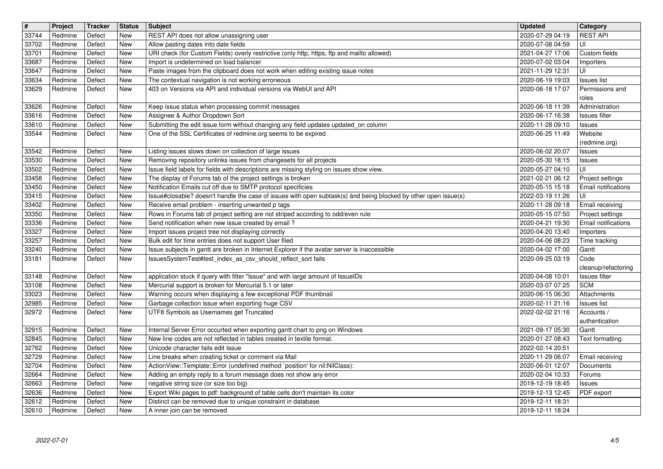| $\boxed{\texttt{#}}$ | Project            | Tracker          | <b>Status</b>            | Subject                                                                                                                                                 | <b>Updated</b>                       | Category                             |
|----------------------|--------------------|------------------|--------------------------|---------------------------------------------------------------------------------------------------------------------------------------------------------|--------------------------------------|--------------------------------------|
| 33744<br>33702       | Redmine<br>Redmine | Defect<br>Defect | <b>New</b><br><b>New</b> | REST API does not allow unassigning user<br>Allow pasting dates into date fields                                                                        | 2020-07-29 04:19<br>2020-07-08 04:59 | <b>REST API</b><br>UI                |
| 33701                | Redmine            | Defect           | <b>New</b>               | URI check (for Custom Fields) overly restrictive (only http, https, ftp and mailto allowed)                                                             | 2021-04-27 17:06                     | Custom fields                        |
| 33687<br>33647       | Redmine<br>Redmine | Defect<br>Defect | <b>New</b><br><b>New</b> | Import is undetermined on load balancer<br>Paste images from the clipboard does not work when editing existing issue notes                              | 2020-07-02 03:04<br>2021-11-29 12:31 | Importers<br>UI                      |
| 33634                | Redmine            | Defect           | <b>New</b>               | The contextual navigation is not working erroneous                                                                                                      | 2020-06-19 19:03                     | <b>Issues list</b>                   |
| 33629                | Redmine            | Defect           | New                      | 403 on Versions via API and individual versions via WebUI and API                                                                                       | 2020-06-18 17:07                     | Permissions and                      |
| 33626                | Redmine            | Defect           | New                      | Keep issue status when processing commit messages                                                                                                       | 2020-06-18 11:39                     | roles<br>Administration              |
| 33616                | Redmine            | Defect           | <b>New</b>               | Assignee & Author Dropdown Sort                                                                                                                         | 2020-06-17 16:38                     | Issues filter                        |
| 33610                | Redmine            | Defect           | New                      | Submitting the edit issue form without changing any field updates updated_on column                                                                     | 2020-11-28 09:10                     | Issues                               |
| 33544                | Redmine            | Defect           | New                      | One of the SSL Certificates of redmine.org seems to be expired                                                                                          | 2020-06-25 11:49                     | Website<br>(redmine.org)             |
| 33542                | Redmine            | Defect           | New                      | Listing issues slows down on collection of large issues                                                                                                 | 2020-06-02 20:07                     | Issues                               |
| 33530                | Redmine            | Defect           | <b>New</b>               | Removing repository unlinks issues from changesets for all projects                                                                                     | 2020-05-30 18:15                     | <b>Issues</b>                        |
| 33502<br>33458       | Redmine<br>Redmine | Defect<br>Defect | New<br>New               | Issue field labels for fields with descriptions are missing styling on issues show view.<br>The display of Forums tab of the project settings is broken | 2020-05-27 04:10<br>2021-02-21 06:12 | UI<br>Project settings               |
| 33450                | Redmine            | Defect           | New                      | Notification Emails cut off due to SMTP protocol specificies                                                                                            | 2020-05-15 15:18                     | <b>Email notifications</b>           |
| 33415                | Redmine            | Defect           | <b>New</b>               | Issue#closable? doesn't handle the case of issues with open subtask(s) ánd being blocked by other open issue(s)                                         | 2022-03-19 11:26                     | UI                                   |
| 33402<br>33350       | Redmine<br>Redmine | Defect<br>Defect | New<br><b>New</b>        | Receive email problem - inserting unwanted p tags<br>Rows in Forums tab of project setting are not striped according to odd/even rule                   | 2020-11-28 09:18<br>2020-05-15 07:50 | Email receiving<br>Project settings  |
| 33336                | Redmine            | Defect           | <b>New</b>               | Send notification when new issue created by email?                                                                                                      | 2020-04-21 19:30                     | Email notifications                  |
| 33327<br>33257       | Redmine<br>Redmine | Defect<br>Defect | New<br><b>New</b>        | Import issues project tree not displaying correctly<br>Bulk edit for time entries does not support User filed                                           | 2020-04-20 13:40<br>2020-04-06 08:23 | Importers<br>Time tracking           |
| 33240                | Redmine            | Defect           | New                      | Issue subjects in gantt are broken in Internet Explorer if the avatar server is inaccessible                                                            | 2020-04-02 17:00                     | Gantt                                |
| 33181                | Redmine            | Defect           | New                      | IssuesSystemTest#test_index_as_csv_should_reflect_sort fails                                                                                            | 2020-09-25 03:19                     | Code                                 |
| 33148                | Redmine            | Defect           | New                      | application stuck if query with filter "Issue" and with large amount of IssueIDs                                                                        | 2020-04-08 10:01                     | cleanup/refactoring<br>Issues filter |
| 33108                | Redmine            | Defect           | <b>New</b>               | Mercurial support is broken for Mercurial 5.1 or later                                                                                                  | 2020-03-07 07:25                     | <b>SCM</b>                           |
| 33023                | Redmine            | Defect           | New                      | Warning occurs when displaying a few exceptional PDF thumbnail                                                                                          | 2020-06-15 06:30                     | Attachments                          |
| 32985<br>32972       | Redmine<br>Redmine | Defect<br>Defect | New<br>New               | Garbage collection issue when exporting huge CSV<br>UTF8 Symbols as Usernames get Truncated                                                             | 2020-02-11 21:16<br>2022-02-02 21:16 | <b>Issues list</b><br>Accounts /     |
|                      |                    |                  |                          |                                                                                                                                                         |                                      | authentication                       |
| 32915                | Redmine            | Defect           | New                      | Internal Server Error occurted when exporting gantt chart to png on Windows                                                                             | 2021-09-17 05:30                     | Gantt                                |
| 32845<br>32762       | Redmine<br>Redmine | Defect<br>Defect | New<br>New               | New line codes are not reflected in tables created in textile format.<br>Unicode character fails edit Issue                                             | 2020-01-27 08:43<br>2022-02-14 20:51 | Text formatting                      |
| 32729                | Redmine            | Defect           | <b>New</b>               | Line breaks when creating ticket or comment via Mail                                                                                                    | 2020-11-29 06:07                     | Email receiving                      |
| 32704                | Redmine            | Defect           | New                      | ActionView::Template::Error (undefined method `position' for nil:NilClass):                                                                             | 2020-06-01 12:07                     | Documents                            |
| 32664<br>32663       | Redmine<br>Redmine | Defect<br>Defect | New<br><b>New</b>        | Adding an empty reply to a forum message does not show any error<br>negative string size (or size too big)                                              | 2020-02-04 10:33<br>2019-12-19 18:45 | Forums<br>Issues                     |
| 32636                | Redmine            | Defect           | New                      | Export Wiki pages to pdf: background of table cells don't maintain its color                                                                            | 2019-12-13 12:45                     | PDF export                           |
| 32612<br>32610       | Redmine<br>Redmine | Defect<br>Defect | New<br>New               | Distinct can be removed due to unique constraint in database<br>A inner join can be removed                                                             | 2019-12-11 18:31<br>2019-12-11 18:24 |                                      |
|                      |                    |                  |                          |                                                                                                                                                         |                                      |                                      |
|                      |                    |                  |                          |                                                                                                                                                         |                                      |                                      |
|                      |                    |                  |                          |                                                                                                                                                         |                                      |                                      |
|                      |                    |                  |                          |                                                                                                                                                         |                                      |                                      |
|                      |                    |                  |                          |                                                                                                                                                         |                                      |                                      |
|                      |                    |                  |                          |                                                                                                                                                         |                                      |                                      |
|                      |                    |                  |                          |                                                                                                                                                         |                                      |                                      |
|                      |                    |                  |                          |                                                                                                                                                         |                                      |                                      |
|                      |                    |                  |                          |                                                                                                                                                         |                                      |                                      |
|                      |                    |                  |                          |                                                                                                                                                         |                                      |                                      |
|                      |                    |                  |                          |                                                                                                                                                         |                                      |                                      |
|                      |                    |                  |                          |                                                                                                                                                         |                                      |                                      |
|                      |                    |                  |                          |                                                                                                                                                         |                                      |                                      |
|                      |                    |                  |                          |                                                                                                                                                         |                                      |                                      |
|                      |                    |                  |                          |                                                                                                                                                         |                                      |                                      |
|                      |                    |                  |                          |                                                                                                                                                         |                                      |                                      |
|                      |                    |                  |                          |                                                                                                                                                         |                                      |                                      |
|                      |                    |                  |                          |                                                                                                                                                         |                                      |                                      |
|                      |                    |                  |                          |                                                                                                                                                         |                                      |                                      |